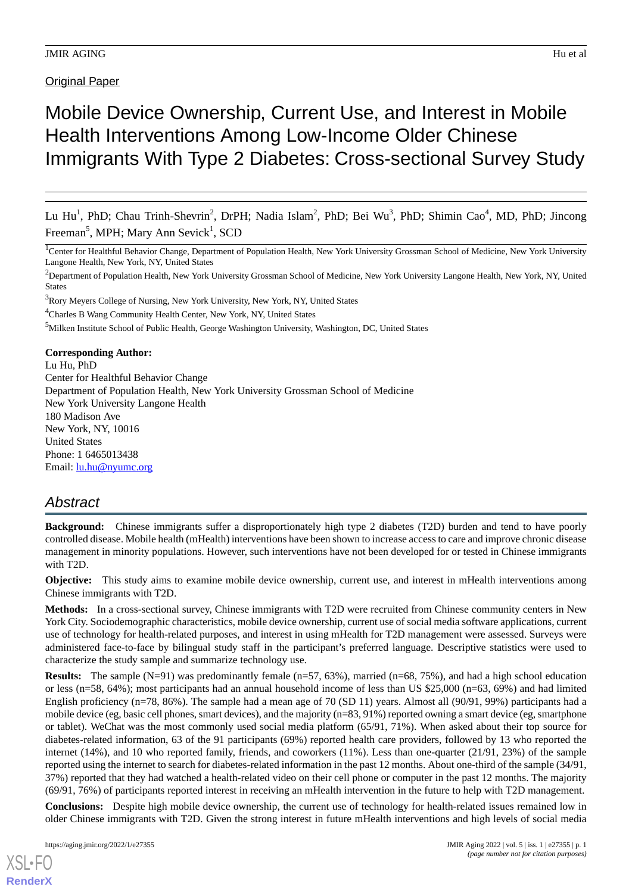## **Original Paper**

# Mobile Device Ownership, Current Use, and Interest in Mobile Health Interventions Among Low-Income Older Chinese Immigrants With Type 2 Diabetes: Cross-sectional Survey Study

Lu Hu<sup>1</sup>, PhD; Chau Trinh-Shevrin<sup>2</sup>, DrPH; Nadia Islam<sup>2</sup>, PhD; Bei Wu<sup>3</sup>, PhD; Shimin Cao<sup>4</sup>, MD, PhD; Jincong Freeman<sup>5</sup>, MPH; Mary Ann Sevick<sup>1</sup>, SCD

<sup>1</sup>Center for Healthful Behavior Change, Department of Population Health, New York University Grossman School of Medicine, New York University Langone Health, New York, NY, United States

<sup>2</sup>Department of Population Health, New York University Grossman School of Medicine, New York University Langone Health, New York, NY, United **States** 

<sup>3</sup>Rory Meyers College of Nursing, New York University, New York, NY, United States

<sup>4</sup>Charles B Wang Community Health Center, New York, NY, United States

<sup>5</sup>Milken Institute School of Public Health, George Washington University, Washington, DC, United States

**Corresponding Author:** Lu Hu, PhD Center for Healthful Behavior Change Department of Population Health, New York University Grossman School of Medicine New York University Langone Health 180 Madison Ave New York, NY, 10016 United States Phone: 1 6465013438 Email: <u>[lu.hu@nyumc.org](mailto:lu.hu@nyumc.org)</u>

## *Abstract*

**Background:** Chinese immigrants suffer a disproportionately high type 2 diabetes (T2D) burden and tend to have poorly controlled disease. Mobile health (mHealth) interventions have been shown to increase access to care and improve chronic disease management in minority populations. However, such interventions have not been developed for or tested in Chinese immigrants with T2D.

**Objective:** This study aims to examine mobile device ownership, current use, and interest in mHealth interventions among Chinese immigrants with T2D.

**Methods:** In a cross-sectional survey, Chinese immigrants with T2D were recruited from Chinese community centers in New York City. Sociodemographic characteristics, mobile device ownership, current use of social media software applications, current use of technology for health-related purposes, and interest in using mHealth for T2D management were assessed. Surveys were administered face-to-face by bilingual study staff in the participant's preferred language. Descriptive statistics were used to characterize the study sample and summarize technology use.

**Results:** The sample (N=91) was predominantly female (n=57, 63%), married (n=68, 75%), and had a high school education or less (n=58, 64%); most participants had an annual household income of less than US \$25,000 (n=63, 69%) and had limited English proficiency (n=78, 86%). The sample had a mean age of 70 (SD 11) years. Almost all (90/91, 99%) participants had a mobile device (eg, basic cell phones, smart devices), and the majority (n=83, 91%) reported owning a smart device (eg, smartphone or tablet). WeChat was the most commonly used social media platform (65/91, 71%). When asked about their top source for diabetes-related information, 63 of the 91 participants (69%) reported health care providers, followed by 13 who reported the internet (14%), and 10 who reported family, friends, and coworkers (11%). Less than one-quarter (21/91, 23%) of the sample reported using the internet to search for diabetes-related information in the past 12 months. About one-third of the sample (34/91, 37%) reported that they had watched a health-related video on their cell phone or computer in the past 12 months. The majority (69/91, 76%) of participants reported interest in receiving an mHealth intervention in the future to help with T2D management.

**Conclusions:** Despite high mobile device ownership, the current use of technology for health-related issues remained low in older Chinese immigrants with T2D. Given the strong interest in future mHealth interventions and high levels of social media

[XSL](http://www.w3.org/Style/XSL)•FO **[RenderX](http://www.renderx.com/)**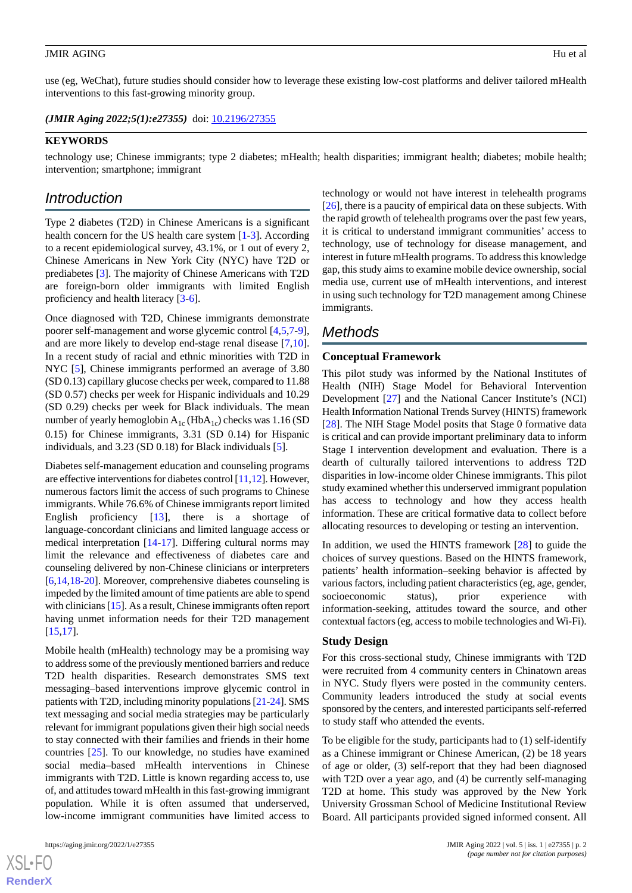use (eg, WeChat), future studies should consider how to leverage these existing low-cost platforms and deliver tailored mHealth interventions to this fast-growing minority group.

*(JMIR Aging 2022;5(1):e27355)* doi:  $10.2196/27355$ 

#### **KEYWORDS**

technology use; Chinese immigrants; type 2 diabetes; mHealth; health disparities; immigrant health; diabetes; mobile health; intervention; smartphone; immigrant

## *Introduction*

Type 2 diabetes (T2D) in Chinese Americans is a significant health concern for the US health care system [[1-](#page-5-0)[3](#page-5-1)]. According to a recent epidemiological survey, 43.1%, or 1 out of every 2, Chinese Americans in New York City (NYC) have T2D or prediabetes [[3\]](#page-5-1). The majority of Chinese Americans with T2D are foreign-born older immigrants with limited English proficiency and health literacy [[3-](#page-5-1)[6](#page-5-2)].

Once diagnosed with T2D, Chinese immigrants demonstrate poorer self-management and worse glycemic control [[4](#page-5-3),[5](#page-5-4)[,7-](#page-5-5)[9\]](#page-6-0), and are more likely to develop end-stage renal disease [\[7](#page-5-5),[10\]](#page-6-1). In a recent study of racial and ethnic minorities with T2D in NYC [\[5\]](#page-5-4), Chinese immigrants performed an average of 3.80 (SD 0.13) capillary glucose checks per week, compared to 11.88 (SD 0.57) checks per week for Hispanic individuals and 10.29 (SD 0.29) checks per week for Black individuals. The mean number of yearly hemoglobin  $A_{1c}$  (Hb $A_{1c}$ ) checks was 1.16 (SD 0.15) for Chinese immigrants, 3.31 (SD 0.14) for Hispanic individuals, and 3.23 (SD 0.18) for Black individuals [[5\]](#page-5-4).

Diabetes self-management education and counseling programs are effective interventions for diabetes control [[11](#page-6-2),[12\]](#page-6-3). However, numerous factors limit the access of such programs to Chinese immigrants. While 76.6% of Chinese immigrants report limited English proficiency [[13\]](#page-6-4), there is a shortage of language-concordant clinicians and limited language access or medical interpretation [\[14](#page-6-5)-[17\]](#page-6-6). Differing cultural norms may limit the relevance and effectiveness of diabetes care and counseling delivered by non-Chinese clinicians or interpreters [[6](#page-5-2)[,14](#page-6-5),[18](#page-6-7)[-20](#page-6-8)]. Moreover, comprehensive diabetes counseling is impeded by the limited amount of time patients are able to spend with clinicians [\[15](#page-6-9)]. As a result, Chinese immigrants often report having unmet information needs for their T2D management [[15](#page-6-9)[,17](#page-6-6)].

Mobile health (mHealth) technology may be a promising way to address some of the previously mentioned barriers and reduce T2D health disparities. Research demonstrates SMS text messaging–based interventions improve glycemic control in patients with T2D, including minority populations [[21](#page-6-10)[-24](#page-6-11)]. SMS text messaging and social media strategies may be particularly relevant for immigrant populations given their high social needs to stay connected with their families and friends in their home countries [\[25](#page-6-12)]. To our knowledge, no studies have examined social media–based mHealth interventions in Chinese immigrants with T2D. Little is known regarding access to, use of, and attitudes toward mHealth in this fast-growing immigrant population. While it is often assumed that underserved, low-income immigrant communities have limited access to

technology or would not have interest in telehealth programs [[26\]](#page-6-13), there is a paucity of empirical data on these subjects. With the rapid growth of telehealth programs over the past few years, it is critical to understand immigrant communities' access to technology, use of technology for disease management, and interest in future mHealth programs. To address this knowledge gap, this study aims to examine mobile device ownership, social media use, current use of mHealth interventions, and interest in using such technology for T2D management among Chinese immigrants.

## *Methods*

## **Conceptual Framework**

This pilot study was informed by the National Institutes of Health (NIH) Stage Model for Behavioral Intervention Development [\[27](#page-6-14)] and the National Cancer Institute's (NCI) Health Information National Trends Survey (HINTS) framework [[28\]](#page-7-0). The NIH Stage Model posits that Stage 0 formative data is critical and can provide important preliminary data to inform Stage I intervention development and evaluation. There is a dearth of culturally tailored interventions to address T2D disparities in low-income older Chinese immigrants. This pilot study examined whether this underserved immigrant population has access to technology and how they access health information. These are critical formative data to collect before allocating resources to developing or testing an intervention.

In addition, we used the HINTS framework [[28\]](#page-7-0) to guide the choices of survey questions. Based on the HINTS framework, patients' health information–seeking behavior is affected by various factors, including patient characteristics (eg, age, gender, socioeconomic status), prior experience with information-seeking, attitudes toward the source, and other contextual factors (eg, access to mobile technologies and Wi-Fi).

#### **Study Design**

For this cross-sectional study, Chinese immigrants with T2D were recruited from 4 community centers in Chinatown areas in NYC. Study flyers were posted in the community centers. Community leaders introduced the study at social events sponsored by the centers, and interested participants self-referred to study staff who attended the events.

To be eligible for the study, participants had to (1) self-identify as a Chinese immigrant or Chinese American, (2) be 18 years of age or older, (3) self-report that they had been diagnosed with T2D over a year ago, and (4) be currently self-managing T2D at home. This study was approved by the New York University Grossman School of Medicine Institutional Review Board. All participants provided signed informed consent. All

 $XS$  • FO **[RenderX](http://www.renderx.com/)**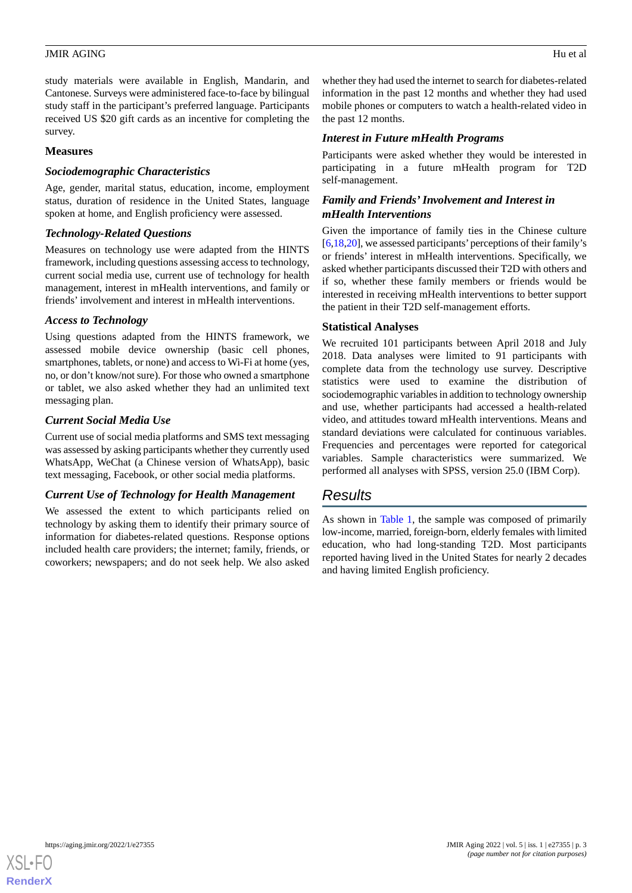study materials were available in English, Mandarin, and Cantonese. Surveys were administered face-to-face by bilingual study staff in the participant's preferred language. Participants received US \$20 gift cards as an incentive for completing the survey.

## **Measures**

## *Sociodemographic Characteristics*

Age, gender, marital status, education, income, employment status, duration of residence in the United States, language spoken at home, and English proficiency were assessed.

## *Technology-Related Questions*

Measures on technology use were adapted from the HINTS framework, including questions assessing access to technology, current social media use, current use of technology for health management, interest in mHealth interventions, and family or friends' involvement and interest in mHealth interventions.

## *Access to Technology*

Using questions adapted from the HINTS framework, we assessed mobile device ownership (basic cell phones, smartphones, tablets, or none) and access to Wi-Fi at home (yes, no, or don't know/not sure). For those who owned a smartphone or tablet, we also asked whether they had an unlimited text messaging plan.

## *Current Social Media Use*

Current use of social media platforms and SMS text messaging was assessed by asking participants whether they currently used WhatsApp, WeChat (a Chinese version of WhatsApp), basic text messaging, Facebook, or other social media platforms.

## *Current Use of Technology for Health Management*

We assessed the extent to which participants relied on technology by asking them to identify their primary source of information for diabetes-related questions. Response options included health care providers; the internet; family, friends, or coworkers; newspapers; and do not seek help. We also asked

whether they had used the internet to search for diabetes-related information in the past 12 months and whether they had used mobile phones or computers to watch a health-related video in the past 12 months.

## *Interest in Future mHealth Programs*

Participants were asked whether they would be interested in participating in a future mHealth program for T2D self-management.

## *Family and Friends'Involvement and Interest in mHealth Interventions*

Given the importance of family ties in the Chinese culture [[6](#page-5-2)[,18](#page-6-7),[20](#page-6-8)], we assessed participants'perceptions of their family's or friends' interest in mHealth interventions. Specifically, we asked whether participants discussed their T2D with others and if so, whether these family members or friends would be interested in receiving mHealth interventions to better support the patient in their T2D self-management efforts.

## **Statistical Analyses**

We recruited 101 participants between April 2018 and July 2018. Data analyses were limited to 91 participants with complete data from the technology use survey. Descriptive statistics were used to examine the distribution of sociodemographic variables in addition to technology ownership and use, whether participants had accessed a health-related video, and attitudes toward mHealth interventions. Means and standard deviations were calculated for continuous variables. Frequencies and percentages were reported for categorical variables. Sample characteristics were summarized. We performed all analyses with SPSS, version 25.0 (IBM Corp).

## *Results*

As shown in [Table 1](#page-3-0), the sample was composed of primarily low-income, married, foreign-born, elderly females with limited education, who had long-standing T2D. Most participants reported having lived in the United States for nearly 2 decades and having limited English proficiency.

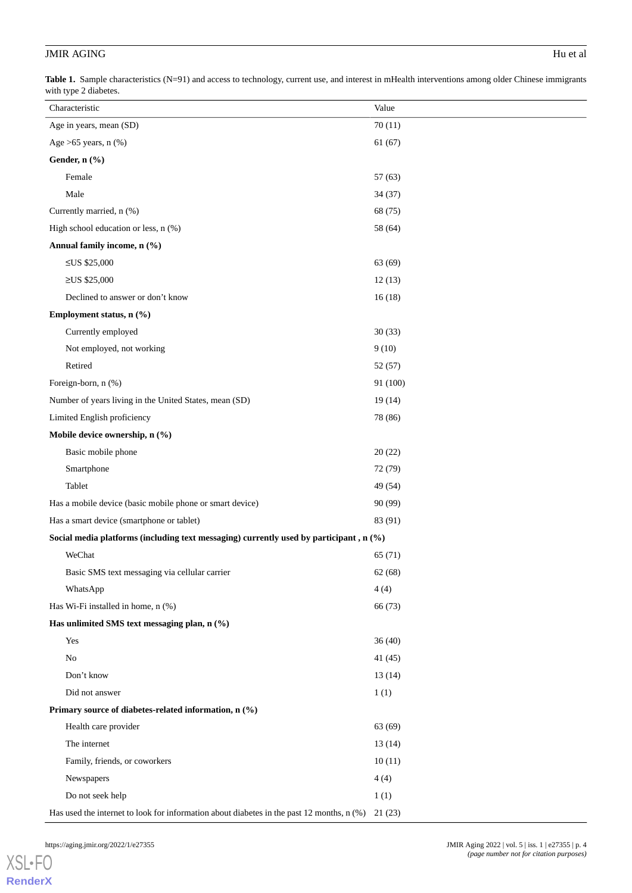<span id="page-3-0"></span>Table 1. Sample characteristics (N=91) and access to technology, current use, and interest in mHealth interventions among older Chinese immigrants with type 2 diabetes.

| Characteristic                                                                                    | Value    |  |
|---------------------------------------------------------------------------------------------------|----------|--|
| Age in years, mean (SD)                                                                           | 70(11)   |  |
| Age $>65$ years, n $(\%)$                                                                         | 61(67)   |  |
| Gender, n (%)                                                                                     |          |  |
| Female                                                                                            | 57(63)   |  |
| Male                                                                                              | 34(37)   |  |
| Currently married, n (%)                                                                          | 68 (75)  |  |
| High school education or less, n (%)                                                              | 58 (64)  |  |
| Annual family income, n (%)                                                                       |          |  |
| ≤US $$25,000$                                                                                     | 63 (69)  |  |
| $≥US$ \$25,000                                                                                    | 12(13)   |  |
| Declined to answer or don't know                                                                  | 16(18)   |  |
| Employment status, n (%)                                                                          |          |  |
| Currently employed                                                                                | 30(33)   |  |
| Not employed, not working                                                                         | 9(10)    |  |
| Retired                                                                                           | 52(57)   |  |
| Foreign-born, n (%)                                                                               | 91 (100) |  |
| Number of years living in the United States, mean (SD)                                            | 19(14)   |  |
| Limited English proficiency                                                                       | 78 (86)  |  |
| Mobile device ownership, n (%)                                                                    |          |  |
| Basic mobile phone                                                                                | 20(22)   |  |
| Smartphone                                                                                        | 72 (79)  |  |
| Tablet                                                                                            | 49 (54)  |  |
| Has a mobile device (basic mobile phone or smart device)                                          | 90 (99)  |  |
| Has a smart device (smartphone or tablet)                                                         | 83 (91)  |  |
| Social media platforms (including text messaging) currently used by participant, n (%)            |          |  |
| WeChat                                                                                            | 65(71)   |  |
| Basic SMS text messaging via cellular carrier                                                     | 62(68)   |  |
| WhatsApp                                                                                          | 4(4)     |  |
| Has Wi-Fi installed in home, n (%)                                                                | 66 (73)  |  |
| Has unlimited SMS text messaging plan, n (%)                                                      |          |  |
| Yes                                                                                               | 36(40)   |  |
| No                                                                                                | 41(45)   |  |
| Don't know                                                                                        | 13(14)   |  |
| Did not answer                                                                                    | 1(1)     |  |
| Primary source of diabetes-related information, n (%)                                             |          |  |
| Health care provider                                                                              | 63 (69)  |  |
| The internet                                                                                      | 13(14)   |  |
| Family, friends, or coworkers                                                                     | 10(11)   |  |
| Newspapers                                                                                        | 4(4)     |  |
| Do not seek help                                                                                  | 1(1)     |  |
| Has used the internet to look for information about diabetes in the past 12 months, n (%) 21 (23) |          |  |

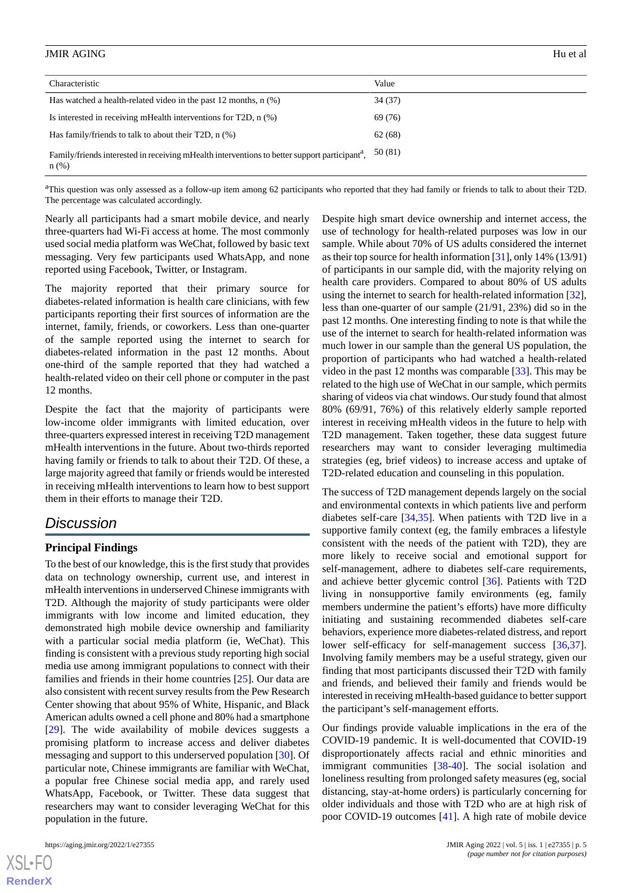| Characteristic                                                                                                       | Value   |
|----------------------------------------------------------------------------------------------------------------------|---------|
| Has watched a health-related video in the past 12 months, $n$ $(\%)$                                                 | 34(37)  |
| Is interested in receiving mHealth interventions for T2D, $n$ $(\%)$                                                 | 69 (76) |
| Has family/friends to talk to about their T2D, $n$ (%)                                                               | 62 (68) |
| Family/friends interested in receiving mHealth interventions to better support participant <sup>4</sup> ,<br>$n$ (%) | 50 (81) |

<sup>a</sup>This question was only assessed as a follow-up item among 62 participants who reported that they had family or friends to talk to about their T2D. The percentage was calculated accordingly.

Nearly all participants had a smart mobile device, and nearly three-quarters had Wi-Fi access at home. The most commonly used social media platform was WeChat, followed by basic text messaging. Very few participants used WhatsApp, and none reported using Facebook, Twitter, or Instagram.

The majority reported that their primary source for diabetes-related information is health care clinicians, with few participants reporting their first sources of information are the internet, family, friends, or coworkers. Less than one-quarter of the sample reported using the internet to search for diabetes-related information in the past 12 months. About one-third of the sample reported that they had watched a health-related video on their cell phone or computer in the past 12 months.

Despite the fact that the majority of participants were low-income older immigrants with limited education, over three-quarters expressed interest in receiving T2D management mHealth interventions in the future. About two-thirds reported having family or friends to talk to about their T2D. Of these, a large majority agreed that family or friends would be interested in receiving mHealth interventions to learn how to best support them in their efforts to manage their T2D.

## *Discussion*

## **Principal Findings**

To the best of our knowledge, this is the first study that provides data on technology ownership, current use, and interest in mHealth interventions in underserved Chinese immigrants with T2D. Although the majority of study participants were older immigrants with low income and limited education, they demonstrated high mobile device ownership and familiarity with a particular social media platform (ie, WeChat). This finding is consistent with a previous study reporting high social media use among immigrant populations to connect with their families and friends in their home countries [[25\]](#page-6-12). Our data are also consistent with recent survey results from the Pew Research Center showing that about 95% of White, Hispanic, and Black American adults owned a cell phone and 80% had a smartphone [[29\]](#page-7-1). The wide availability of mobile devices suggests a promising platform to increase access and deliver diabetes messaging and support to this underserved population [[30\]](#page-7-2). Of particular note, Chinese immigrants are familiar with WeChat, a popular free Chinese social media app, and rarely used WhatsApp, Facebook, or Twitter. These data suggest that researchers may want to consider leveraging WeChat for this population in the future.

 $XS$  • FO **[RenderX](http://www.renderx.com/)** Despite high smart device ownership and internet access, the use of technology for health-related purposes was low in our sample. While about 70% of US adults considered the internet as their top source for health information [[31\]](#page-7-3), only 14% (13/91) of participants in our sample did, with the majority relying on health care providers. Compared to about 80% of US adults using the internet to search for health-related information [[32\]](#page-7-4), less than one-quarter of our sample (21/91, 23%) did so in the past 12 months. One interesting finding to note is that while the use of the internet to search for health-related information was much lower in our sample than the general US population, the proportion of participants who had watched a health-related video in the past 12 months was comparable [[33\]](#page-7-5). This may be related to the high use of WeChat in our sample, which permits sharing of videos via chat windows. Our study found that almost 80% (69/91, 76%) of this relatively elderly sample reported interest in receiving mHealth videos in the future to help with T2D management. Taken together, these data suggest future researchers may want to consider leveraging multimedia strategies (eg, brief videos) to increase access and uptake of T2D-related education and counseling in this population.

The success of T2D management depends largely on the social and environmental contexts in which patients live and perform diabetes self-care [\[34](#page-7-6),[35\]](#page-7-7). When patients with T2D live in a supportive family context (eg, the family embraces a lifestyle consistent with the needs of the patient with T2D), they are more likely to receive social and emotional support for self-management, adhere to diabetes self-care requirements, and achieve better glycemic control [\[36](#page-7-8)]. Patients with T2D living in nonsupportive family environments (eg, family members undermine the patient's efforts) have more difficulty initiating and sustaining recommended diabetes self-care behaviors, experience more diabetes-related distress, and report lower self-efficacy for self-management success [\[36](#page-7-8),[37\]](#page-7-9). Involving family members may be a useful strategy, given our finding that most participants discussed their T2D with family and friends, and believed their family and friends would be interested in receiving mHealth-based guidance to better support the participant's self-management efforts.

Our findings provide valuable implications in the era of the COVID-19 pandemic. It is well-documented that COVID-19 disproportionately affects racial and ethnic minorities and immigrant communities [\[38](#page-7-10)-[40\]](#page-7-11). The social isolation and loneliness resulting from prolonged safety measures (eg, social distancing, stay-at-home orders) is particularly concerning for older individuals and those with T2D who are at high risk of poor COVID-19 outcomes [\[41](#page-7-12)]. A high rate of mobile device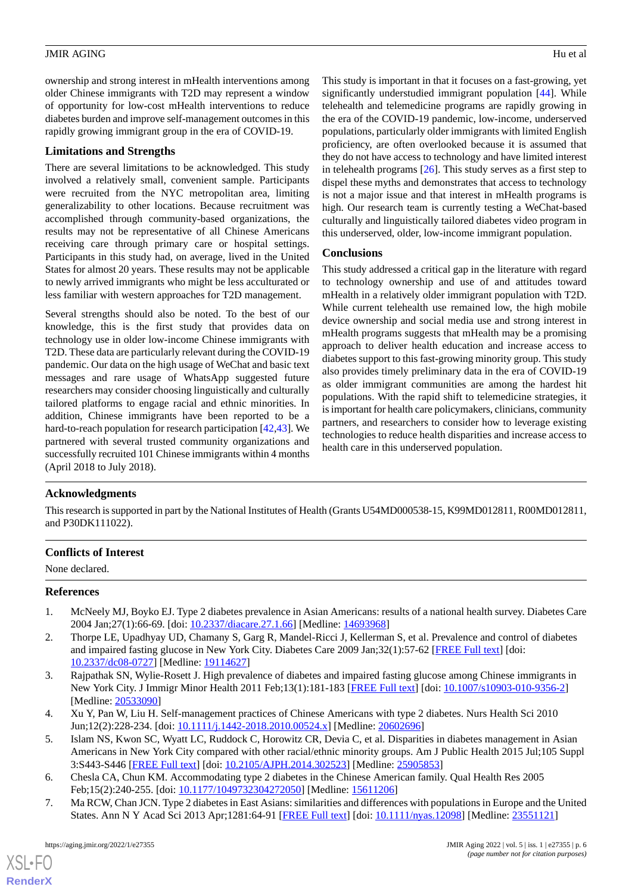ownership and strong interest in mHealth interventions among older Chinese immigrants with T2D may represent a window of opportunity for low-cost mHealth interventions to reduce diabetes burden and improve self-management outcomes in this rapidly growing immigrant group in the era of COVID-19.

## **Limitations and Strengths**

There are several limitations to be acknowledged. This study involved a relatively small, convenient sample. Participants were recruited from the NYC metropolitan area, limiting generalizability to other locations. Because recruitment was accomplished through community-based organizations, the results may not be representative of all Chinese Americans receiving care through primary care or hospital settings. Participants in this study had, on average, lived in the United States for almost 20 years. These results may not be applicable to newly arrived immigrants who might be less acculturated or less familiar with western approaches for T2D management.

Several strengths should also be noted. To the best of our knowledge, this is the first study that provides data on technology use in older low-income Chinese immigrants with T2D. These data are particularly relevant during the COVID-19 pandemic. Our data on the high usage of WeChat and basic text messages and rare usage of WhatsApp suggested future researchers may consider choosing linguistically and culturally tailored platforms to engage racial and ethnic minorities. In addition, Chinese immigrants have been reported to be a hard-to-reach population for research participation [\[42](#page-7-13),[43\]](#page-7-14). We partnered with several trusted community organizations and successfully recruited 101 Chinese immigrants within 4 months (April 2018 to July 2018).

This study is important in that it focuses on a fast-growing, yet significantly understudied immigrant population [[44\]](#page-7-15). While telehealth and telemedicine programs are rapidly growing in the era of the COVID-19 pandemic, low-income, underserved populations, particularly older immigrants with limited English proficiency, are often overlooked because it is assumed that they do not have access to technology and have limited interest in telehealth programs [\[26](#page-6-13)]. This study serves as a first step to dispel these myths and demonstrates that access to technology is not a major issue and that interest in mHealth programs is high. Our research team is currently testing a WeChat-based culturally and linguistically tailored diabetes video program in this underserved, older, low-income immigrant population.

## **Conclusions**

This study addressed a critical gap in the literature with regard to technology ownership and use of and attitudes toward mHealth in a relatively older immigrant population with T2D. While current telehealth use remained low, the high mobile device ownership and social media use and strong interest in mHealth programs suggests that mHealth may be a promising approach to deliver health education and increase access to diabetes support to this fast-growing minority group. This study also provides timely preliminary data in the era of COVID-19 as older immigrant communities are among the hardest hit populations. With the rapid shift to telemedicine strategies, it is important for health care policymakers, clinicians, community partners, and researchers to consider how to leverage existing technologies to reduce health disparities and increase access to health care in this underserved population.

## **Acknowledgments**

This research is supported in part by the National Institutes of Health (Grants U54MD000538-15, K99MD012811, R00MD012811, and P30DK111022).

## <span id="page-5-0"></span>**Conflicts of Interest**

None declared.

## **References**

- <span id="page-5-1"></span>1. McNeely MJ, Boyko EJ. Type 2 diabetes prevalence in Asian Americans: results of a national health survey. Diabetes Care 2004 Jan;27(1):66-69. [doi: [10.2337/diacare.27.1.66\]](http://dx.doi.org/10.2337/diacare.27.1.66) [Medline: [14693968\]](http://www.ncbi.nlm.nih.gov/entrez/query.fcgi?cmd=Retrieve&db=PubMed&list_uids=14693968&dopt=Abstract)
- <span id="page-5-3"></span>2. Thorpe LE, Upadhyay UD, Chamany S, Garg R, Mandel-Ricci J, Kellerman S, et al. Prevalence and control of diabetes and impaired fasting glucose in New York City. Diabetes Care 2009 Jan;32(1):57-62 [\[FREE Full text\]](http://europepmc.org/abstract/MED/19114627) [doi: [10.2337/dc08-0727\]](http://dx.doi.org/10.2337/dc08-0727) [Medline: [19114627](http://www.ncbi.nlm.nih.gov/entrez/query.fcgi?cmd=Retrieve&db=PubMed&list_uids=19114627&dopt=Abstract)]
- <span id="page-5-4"></span>3. Rajpathak SN, Wylie-Rosett J. High prevalence of diabetes and impaired fasting glucose among Chinese immigrants in New York City. J Immigr Minor Health 2011 Feb;13(1):181-183 [[FREE Full text](http://europepmc.org/abstract/MED/20533090)] [doi: [10.1007/s10903-010-9356-2](http://dx.doi.org/10.1007/s10903-010-9356-2)] [Medline: [20533090](http://www.ncbi.nlm.nih.gov/entrez/query.fcgi?cmd=Retrieve&db=PubMed&list_uids=20533090&dopt=Abstract)]
- <span id="page-5-5"></span><span id="page-5-2"></span>4. Xu Y, Pan W, Liu H. Self-management practices of Chinese Americans with type 2 diabetes. Nurs Health Sci 2010 Jun;12(2):228-234. [doi: [10.1111/j.1442-2018.2010.00524.x\]](http://dx.doi.org/10.1111/j.1442-2018.2010.00524.x) [Medline: [20602696](http://www.ncbi.nlm.nih.gov/entrez/query.fcgi?cmd=Retrieve&db=PubMed&list_uids=20602696&dopt=Abstract)]
- 5. Islam NS, Kwon SC, Wyatt LC, Ruddock C, Horowitz CR, Devia C, et al. Disparities in diabetes management in Asian Americans in New York City compared with other racial/ethnic minority groups. Am J Public Health 2015 Jul;105 Suppl 3:S443-S446 [[FREE Full text](http://europepmc.org/abstract/MED/25905853)] [doi: [10.2105/AJPH.2014.302523](http://dx.doi.org/10.2105/AJPH.2014.302523)] [Medline: [25905853](http://www.ncbi.nlm.nih.gov/entrez/query.fcgi?cmd=Retrieve&db=PubMed&list_uids=25905853&dopt=Abstract)]
- 6. Chesla CA, Chun KM. Accommodating type 2 diabetes in the Chinese American family. Qual Health Res 2005 Feb;15(2):240-255. [doi: [10.1177/1049732304272050\]](http://dx.doi.org/10.1177/1049732304272050) [Medline: [15611206\]](http://www.ncbi.nlm.nih.gov/entrez/query.fcgi?cmd=Retrieve&db=PubMed&list_uids=15611206&dopt=Abstract)
- 7. Ma RCW, Chan JCN. Type 2 diabetes in East Asians: similarities and differences with populations in Europe and the United States. Ann N Y Acad Sci 2013 Apr;1281:64-91 [\[FREE Full text\]](https://dx.doi.org/10.1111/nyas.12098) [doi: [10.1111/nyas.12098\]](http://dx.doi.org/10.1111/nyas.12098) [Medline: [23551121\]](http://www.ncbi.nlm.nih.gov/entrez/query.fcgi?cmd=Retrieve&db=PubMed&list_uids=23551121&dopt=Abstract)

[XSL](http://www.w3.org/Style/XSL)•FO **[RenderX](http://www.renderx.com/)**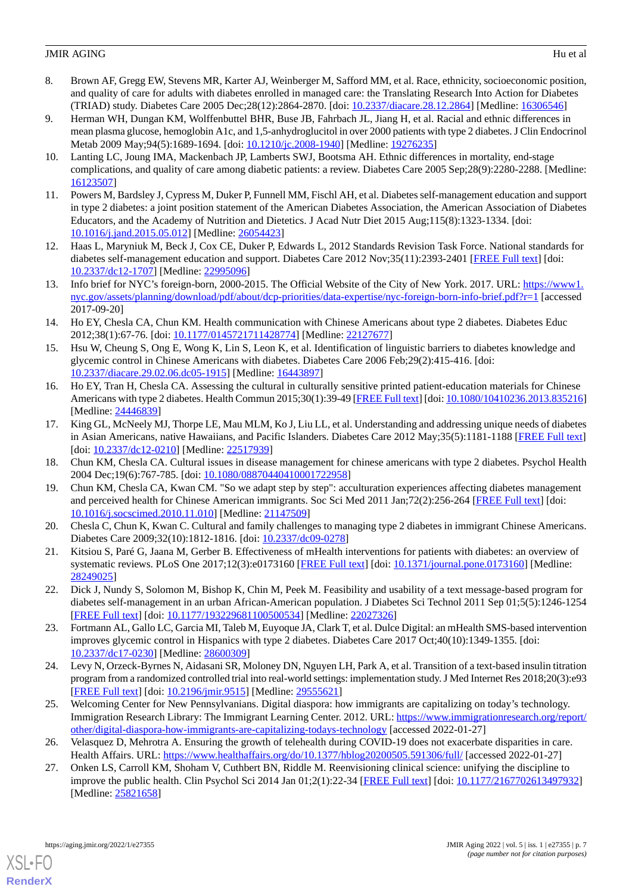- 8. Brown AF, Gregg EW, Stevens MR, Karter AJ, Weinberger M, Safford MM, et al. Race, ethnicity, socioeconomic position, and quality of care for adults with diabetes enrolled in managed care: the Translating Research Into Action for Diabetes (TRIAD) study. Diabetes Care 2005 Dec;28(12):2864-2870. [doi: [10.2337/diacare.28.12.2864](http://dx.doi.org/10.2337/diacare.28.12.2864)] [Medline: [16306546](http://www.ncbi.nlm.nih.gov/entrez/query.fcgi?cmd=Retrieve&db=PubMed&list_uids=16306546&dopt=Abstract)]
- <span id="page-6-0"></span>9. Herman WH, Dungan KM, Wolffenbuttel BHR, Buse JB, Fahrbach JL, Jiang H, et al. Racial and ethnic differences in mean plasma glucose, hemoglobin A1c, and 1,5-anhydroglucitol in over 2000 patients with type 2 diabetes. J Clin Endocrinol Metab 2009 May;94(5):1689-1694. [doi: [10.1210/jc.2008-1940\]](http://dx.doi.org/10.1210/jc.2008-1940) [Medline: [19276235](http://www.ncbi.nlm.nih.gov/entrez/query.fcgi?cmd=Retrieve&db=PubMed&list_uids=19276235&dopt=Abstract)]
- <span id="page-6-1"></span>10. Lanting LC, Joung IMA, Mackenbach JP, Lamberts SWJ, Bootsma AH. Ethnic differences in mortality, end-stage complications, and quality of care among diabetic patients: a review. Diabetes Care 2005 Sep;28(9):2280-2288. [Medline: [16123507](http://www.ncbi.nlm.nih.gov/entrez/query.fcgi?cmd=Retrieve&db=PubMed&list_uids=16123507&dopt=Abstract)]
- <span id="page-6-2"></span>11. Powers M, Bardsley J, Cypress M, Duker P, Funnell MM, Fischl AH, et al. Diabetes self-management education and support in type 2 diabetes: a joint position statement of the American Diabetes Association, the American Association of Diabetes Educators, and the Academy of Nutrition and Dietetics. J Acad Nutr Diet 2015 Aug;115(8):1323-1334. [doi: [10.1016/j.jand.2015.05.012\]](http://dx.doi.org/10.1016/j.jand.2015.05.012) [Medline: [26054423\]](http://www.ncbi.nlm.nih.gov/entrez/query.fcgi?cmd=Retrieve&db=PubMed&list_uids=26054423&dopt=Abstract)
- <span id="page-6-4"></span><span id="page-6-3"></span>12. Haas L, Maryniuk M, Beck J, Cox CE, Duker P, Edwards L, 2012 Standards Revision Task Force. National standards for diabetes self-management education and support. Diabetes Care 2012 Nov;35(11):2393-2401 [\[FREE Full text\]](http://europepmc.org/abstract/MED/22995096) [doi: [10.2337/dc12-1707\]](http://dx.doi.org/10.2337/dc12-1707) [Medline: [22995096](http://www.ncbi.nlm.nih.gov/entrez/query.fcgi?cmd=Retrieve&db=PubMed&list_uids=22995096&dopt=Abstract)]
- <span id="page-6-5"></span>13. Info brief for NYC's foreign-born, 2000-2015. The Official Website of the City of New York. 2017. URL: [https://www1.](https://www1.nyc.gov/assets/planning/download/pdf/about/dcp-priorities/data-expertise/nyc-foreign-born-info-brief.pdf?r=1) [nyc.gov/assets/planning/download/pdf/about/dcp-priorities/data-expertise/nyc-foreign-born-info-brief.pdf?r=1](https://www1.nyc.gov/assets/planning/download/pdf/about/dcp-priorities/data-expertise/nyc-foreign-born-info-brief.pdf?r=1) [accessed 2017-09-20]
- <span id="page-6-9"></span>14. Ho EY, Chesla CA, Chun KM. Health communication with Chinese Americans about type 2 diabetes. Diabetes Educ 2012;38(1):67-76. [doi: [10.1177/0145721711428774\]](http://dx.doi.org/10.1177/0145721711428774) [Medline: [22127677](http://www.ncbi.nlm.nih.gov/entrez/query.fcgi?cmd=Retrieve&db=PubMed&list_uids=22127677&dopt=Abstract)]
- 15. Hsu W, Cheung S, Ong E, Wong K, Lin S, Leon K, et al. Identification of linguistic barriers to diabetes knowledge and glycemic control in Chinese Americans with diabetes. Diabetes Care 2006 Feb;29(2):415-416. [doi: [10.2337/diacare.29.02.06.dc05-1915](http://dx.doi.org/10.2337/diacare.29.02.06.dc05-1915)] [Medline: [16443897](http://www.ncbi.nlm.nih.gov/entrez/query.fcgi?cmd=Retrieve&db=PubMed&list_uids=16443897&dopt=Abstract)]
- <span id="page-6-6"></span>16. Ho EY, Tran H, Chesla CA. Assessing the cultural in culturally sensitive printed patient-education materials for Chinese Americans with type 2 diabetes. Health Commun 2015;30(1):39-49 [[FREE Full text\]](http://europepmc.org/abstract/MED/24446839) [doi: [10.1080/10410236.2013.835216\]](http://dx.doi.org/10.1080/10410236.2013.835216) [Medline: [24446839](http://www.ncbi.nlm.nih.gov/entrez/query.fcgi?cmd=Retrieve&db=PubMed&list_uids=24446839&dopt=Abstract)]
- <span id="page-6-7"></span>17. King GL, McNeely MJ, Thorpe LE, Mau MLM, Ko J, Liu LL, et al. Understanding and addressing unique needs of diabetes in Asian Americans, native Hawaiians, and Pacific Islanders. Diabetes Care 2012 May;35(5):1181-1188 [\[FREE Full text\]](http://europepmc.org/abstract/MED/22517939) [doi: [10.2337/dc12-0210\]](http://dx.doi.org/10.2337/dc12-0210) [Medline: [22517939\]](http://www.ncbi.nlm.nih.gov/entrez/query.fcgi?cmd=Retrieve&db=PubMed&list_uids=22517939&dopt=Abstract)
- <span id="page-6-8"></span>18. Chun KM, Chesla CA. Cultural issues in disease management for chinese americans with type 2 diabetes. Psychol Health 2004 Dec;19(6):767-785. [doi: [10.1080/08870440410001722958](http://dx.doi.org/10.1080/08870440410001722958)]
- <span id="page-6-10"></span>19. Chun KM, Chesla CA, Kwan CM. "So we adapt step by step": acculturation experiences affecting diabetes management and perceived health for Chinese American immigrants. Soc Sci Med 2011 Jan;72(2):256-264 [[FREE Full text\]](http://europepmc.org/abstract/MED/21147509) [doi: [10.1016/j.socscimed.2010.11.010](http://dx.doi.org/10.1016/j.socscimed.2010.11.010)] [Medline: [21147509](http://www.ncbi.nlm.nih.gov/entrez/query.fcgi?cmd=Retrieve&db=PubMed&list_uids=21147509&dopt=Abstract)]
- 20. Chesla C, Chun K, Kwan C. Cultural and family challenges to managing type 2 diabetes in immigrant Chinese Americans. Diabetes Care 2009;32(10):1812-1816. [doi: [10.2337/dc09-0278](http://dx.doi.org/10.2337/dc09-0278)]
- 21. Kitsiou S, Paré G, Jaana M, Gerber B. Effectiveness of mHealth interventions for patients with diabetes: an overview of systematic reviews. PLoS One 2017;12(3):e0173160 [\[FREE Full text\]](https://dx.plos.org/10.1371/journal.pone.0173160) [doi: [10.1371/journal.pone.0173160\]](http://dx.doi.org/10.1371/journal.pone.0173160) [Medline: [28249025](http://www.ncbi.nlm.nih.gov/entrez/query.fcgi?cmd=Retrieve&db=PubMed&list_uids=28249025&dopt=Abstract)]
- <span id="page-6-11"></span>22. Dick J, Nundy S, Solomon M, Bishop K, Chin M, Peek M. Feasibility and usability of a text message-based program for diabetes self-management in an urban African-American population. J Diabetes Sci Technol 2011 Sep 01;5(5):1246-1254 [[FREE Full text](http://europepmc.org/abstract/MED/22027326)] [doi: [10.1177/193229681100500534\]](http://dx.doi.org/10.1177/193229681100500534) [Medline: [22027326](http://www.ncbi.nlm.nih.gov/entrez/query.fcgi?cmd=Retrieve&db=PubMed&list_uids=22027326&dopt=Abstract)]
- <span id="page-6-12"></span>23. Fortmann AL, Gallo LC, Garcia MI, Taleb M, Euyoque JA, Clark T, et al. Dulce Digital: an mHealth SMS-based intervention improves glycemic control in Hispanics with type 2 diabetes. Diabetes Care 2017 Oct;40(10):1349-1355. [doi: [10.2337/dc17-0230\]](http://dx.doi.org/10.2337/dc17-0230) [Medline: [28600309](http://www.ncbi.nlm.nih.gov/entrez/query.fcgi?cmd=Retrieve&db=PubMed&list_uids=28600309&dopt=Abstract)]
- <span id="page-6-13"></span>24. Levy N, Orzeck-Byrnes N, Aidasani SR, Moloney DN, Nguyen LH, Park A, et al. Transition of a text-based insulin titration program from a randomized controlled trial into real-world settings: implementation study. J Med Internet Res 2018;20(3):e93 [[FREE Full text](https://www.jmir.org/2018/3/e93/)] [doi: [10.2196/jmir.9515](http://dx.doi.org/10.2196/jmir.9515)] [Medline: [29555621](http://www.ncbi.nlm.nih.gov/entrez/query.fcgi?cmd=Retrieve&db=PubMed&list_uids=29555621&dopt=Abstract)]
- <span id="page-6-14"></span>25. Welcoming Center for New Pennsylvanians. Digital diaspora: how immigrants are capitalizing on today's technology. Immigration Research Library: The Immigrant Learning Center. 2012. URL: [https://www.immigrationresearch.org/report/](https://www.immigrationresearch.org/report/other/digital-diaspora-how-immigrants-are-capitalizing-todays-technology) [other/digital-diaspora-how-immigrants-are-capitalizing-todays-technology](https://www.immigrationresearch.org/report/other/digital-diaspora-how-immigrants-are-capitalizing-todays-technology) [accessed 2022-01-27]
- 26. Velasquez D, Mehrotra A. Ensuring the growth of telehealth during COVID-19 does not exacerbate disparities in care. Health Affairs. URL: <https://www.healthaffairs.org/do/10.1377/hblog20200505.591306/full/> [accessed 2022-01-27]
- 27. Onken LS, Carroll KM, Shoham V, Cuthbert BN, Riddle M. Reenvisioning clinical science: unifying the discipline to improve the public health. Clin Psychol Sci 2014 Jan 01;2(1):22-34 [[FREE Full text](http://europepmc.org/abstract/MED/25821658)] [doi: [10.1177/2167702613497932\]](http://dx.doi.org/10.1177/2167702613497932) [Medline: [25821658](http://www.ncbi.nlm.nih.gov/entrez/query.fcgi?cmd=Retrieve&db=PubMed&list_uids=25821658&dopt=Abstract)]



[XSL](http://www.w3.org/Style/XSL)•FO **[RenderX](http://www.renderx.com/)**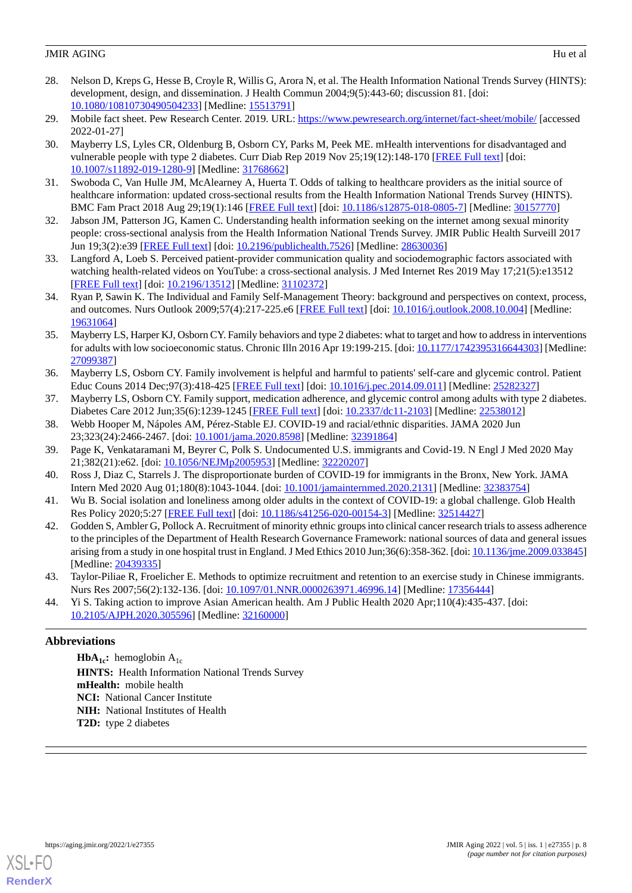- <span id="page-7-0"></span>28. Nelson D, Kreps G, Hesse B, Croyle R, Willis G, Arora N, et al. The Health Information National Trends Survey (HINTS): development, design, and dissemination. J Health Commun 2004;9(5):443-60; discussion 81. [doi: [10.1080/10810730490504233\]](http://dx.doi.org/10.1080/10810730490504233) [Medline: [15513791\]](http://www.ncbi.nlm.nih.gov/entrez/query.fcgi?cmd=Retrieve&db=PubMed&list_uids=15513791&dopt=Abstract)
- <span id="page-7-2"></span><span id="page-7-1"></span>29. Mobile fact sheet. Pew Research Center. 2019. URL: <https://www.pewresearch.org/internet/fact-sheet/mobile/> [accessed] 2022-01-27]
- 30. Mayberry LS, Lyles CR, Oldenburg B, Osborn CY, Parks M, Peek ME. mHealth interventions for disadvantaged and vulnerable people with type 2 diabetes. Curr Diab Rep 2019 Nov 25;19(12):148-170 [\[FREE Full text\]](http://europepmc.org/abstract/MED/31768662) [doi: [10.1007/s11892-019-1280-9\]](http://dx.doi.org/10.1007/s11892-019-1280-9) [Medline: [31768662](http://www.ncbi.nlm.nih.gov/entrez/query.fcgi?cmd=Retrieve&db=PubMed&list_uids=31768662&dopt=Abstract)]
- <span id="page-7-4"></span><span id="page-7-3"></span>31. Swoboda C, Van Hulle JM, McAlearney A, Huerta T. Odds of talking to healthcare providers as the initial source of healthcare information: updated cross-sectional results from the Health Information National Trends Survey (HINTS). BMC Fam Pract 2018 Aug 29;19(1):146 [[FREE Full text](https://bmcfampract.biomedcentral.com/articles/10.1186/s12875-018-0805-7)] [doi: [10.1186/s12875-018-0805-7](http://dx.doi.org/10.1186/s12875-018-0805-7)] [Medline: [30157770](http://www.ncbi.nlm.nih.gov/entrez/query.fcgi?cmd=Retrieve&db=PubMed&list_uids=30157770&dopt=Abstract)]
- <span id="page-7-5"></span>32. Jabson JM, Patterson JG, Kamen C. Understanding health information seeking on the internet among sexual minority people: cross-sectional analysis from the Health Information National Trends Survey. JMIR Public Health Surveill 2017 Jun 19;3(2):e39 [\[FREE Full text\]](https://publichealth.jmir.org/2017/2/e39/) [doi: [10.2196/publichealth.7526](http://dx.doi.org/10.2196/publichealth.7526)] [Medline: [28630036](http://www.ncbi.nlm.nih.gov/entrez/query.fcgi?cmd=Retrieve&db=PubMed&list_uids=28630036&dopt=Abstract)]
- <span id="page-7-6"></span>33. Langford A, Loeb S. Perceived patient-provider communication quality and sociodemographic factors associated with watching health-related videos on YouTube: a cross-sectional analysis. J Med Internet Res 2019 May 17;21(5):e13512 [[FREE Full text](https://www.jmir.org/2019/5/e13512/)] [doi: [10.2196/13512\]](http://dx.doi.org/10.2196/13512) [Medline: [31102372\]](http://www.ncbi.nlm.nih.gov/entrez/query.fcgi?cmd=Retrieve&db=PubMed&list_uids=31102372&dopt=Abstract)
- <span id="page-7-7"></span>34. Ryan P, Sawin K. The Individual and Family Self-Management Theory: background and perspectives on context, process, and outcomes. Nurs Outlook 2009;57(4):217-225.e6 [\[FREE Full text\]](http://europepmc.org/abstract/MED/19631064) [doi: [10.1016/j.outlook.2008.10.004\]](http://dx.doi.org/10.1016/j.outlook.2008.10.004) [Medline: [19631064](http://www.ncbi.nlm.nih.gov/entrez/query.fcgi?cmd=Retrieve&db=PubMed&list_uids=19631064&dopt=Abstract)]
- <span id="page-7-8"></span>35. Mayberry LS, Harper KJ, Osborn CY. Family behaviors and type 2 diabetes: what to target and how to address in interventions for adults with low socioeconomic status. Chronic Illn 2016 Apr 19:199-215. [doi: [10.1177/1742395316644303](http://dx.doi.org/10.1177/1742395316644303)] [Medline: [27099387](http://www.ncbi.nlm.nih.gov/entrez/query.fcgi?cmd=Retrieve&db=PubMed&list_uids=27099387&dopt=Abstract)]
- <span id="page-7-10"></span><span id="page-7-9"></span>36. Mayberry LS, Osborn CY. Family involvement is helpful and harmful to patients' self-care and glycemic control. Patient Educ Couns 2014 Dec;97(3):418-425 [[FREE Full text](http://europepmc.org/abstract/MED/25282327)] [doi: [10.1016/j.pec.2014.09.011](http://dx.doi.org/10.1016/j.pec.2014.09.011)] [Medline: [25282327\]](http://www.ncbi.nlm.nih.gov/entrez/query.fcgi?cmd=Retrieve&db=PubMed&list_uids=25282327&dopt=Abstract)
- 37. Mayberry LS, Osborn CY. Family support, medication adherence, and glycemic control among adults with type 2 diabetes. Diabetes Care 2012 Jun;35(6):1239-1245 [\[FREE Full text\]](http://europepmc.org/abstract/MED/22538012) [doi: [10.2337/dc11-2103\]](http://dx.doi.org/10.2337/dc11-2103) [Medline: [22538012\]](http://www.ncbi.nlm.nih.gov/entrez/query.fcgi?cmd=Retrieve&db=PubMed&list_uids=22538012&dopt=Abstract)
- <span id="page-7-11"></span>38. Webb Hooper M, Nápoles AM, Pérez-Stable EJ. COVID-19 and racial/ethnic disparities. JAMA 2020 Jun 23;323(24):2466-2467. [doi: [10.1001/jama.2020.8598](http://dx.doi.org/10.1001/jama.2020.8598)] [Medline: [32391864\]](http://www.ncbi.nlm.nih.gov/entrez/query.fcgi?cmd=Retrieve&db=PubMed&list_uids=32391864&dopt=Abstract)
- <span id="page-7-12"></span>39. Page K, Venkataramani M, Beyrer C, Polk S. Undocumented U.S. immigrants and Covid-19. N Engl J Med 2020 May 21;382(21):e62. [doi: [10.1056/NEJMp2005953\]](http://dx.doi.org/10.1056/NEJMp2005953) [Medline: [32220207\]](http://www.ncbi.nlm.nih.gov/entrez/query.fcgi?cmd=Retrieve&db=PubMed&list_uids=32220207&dopt=Abstract)
- <span id="page-7-13"></span>40. Ross J, Diaz C, Starrels J. The disproportionate burden of COVID-19 for immigrants in the Bronx, New York. JAMA Intern Med 2020 Aug 01;180(8):1043-1044. [doi: [10.1001/jamainternmed.2020.2131](http://dx.doi.org/10.1001/jamainternmed.2020.2131)] [Medline: [32383754\]](http://www.ncbi.nlm.nih.gov/entrez/query.fcgi?cmd=Retrieve&db=PubMed&list_uids=32383754&dopt=Abstract)
- 41. Wu B. Social isolation and loneliness among older adults in the context of COVID-19: a global challenge. Glob Health Res Policy 2020;5:27 [\[FREE Full text\]](https://ghrp.biomedcentral.com/articles/10.1186/s41256-020-00154-3) [doi: [10.1186/s41256-020-00154-3](http://dx.doi.org/10.1186/s41256-020-00154-3)] [Medline: [32514427\]](http://www.ncbi.nlm.nih.gov/entrez/query.fcgi?cmd=Retrieve&db=PubMed&list_uids=32514427&dopt=Abstract)
- <span id="page-7-15"></span><span id="page-7-14"></span>42. Godden S, Ambler G, Pollock A. Recruitment of minority ethnic groups into clinical cancer research trials to assess adherence to the principles of the Department of Health Research Governance Framework: national sources of data and general issues arising from a study in one hospital trust in England. J Med Ethics 2010 Jun;36(6):358-362. [doi: [10.1136/jme.2009.033845\]](http://dx.doi.org/10.1136/jme.2009.033845) [Medline: [20439335](http://www.ncbi.nlm.nih.gov/entrez/query.fcgi?cmd=Retrieve&db=PubMed&list_uids=20439335&dopt=Abstract)]
- 43. Taylor-Piliae R, Froelicher E. Methods to optimize recruitment and retention to an exercise study in Chinese immigrants. Nurs Res 2007;56(2):132-136. [doi: [10.1097/01.NNR.0000263971.46996.14](http://dx.doi.org/10.1097/01.NNR.0000263971.46996.14)] [Medline: [17356444](http://www.ncbi.nlm.nih.gov/entrez/query.fcgi?cmd=Retrieve&db=PubMed&list_uids=17356444&dopt=Abstract)]
- 44. Yi S. Taking action to improve Asian American health. Am J Public Health 2020 Apr;110(4):435-437. [doi: [10.2105/AJPH.2020.305596\]](http://dx.doi.org/10.2105/AJPH.2020.305596) [Medline: [32160000](http://www.ncbi.nlm.nih.gov/entrez/query.fcgi?cmd=Retrieve&db=PubMed&list_uids=32160000&dopt=Abstract)]

## **Abbreviations**

**HbA**<sub>1c</sub>**:** hemoglobin  $A_{1c}$ **HINTS:** Health Information National Trends Survey **mHealth:** mobile health **NCI:** National Cancer Institute **NIH:** National Institutes of Health **T2D:** type 2 diabetes